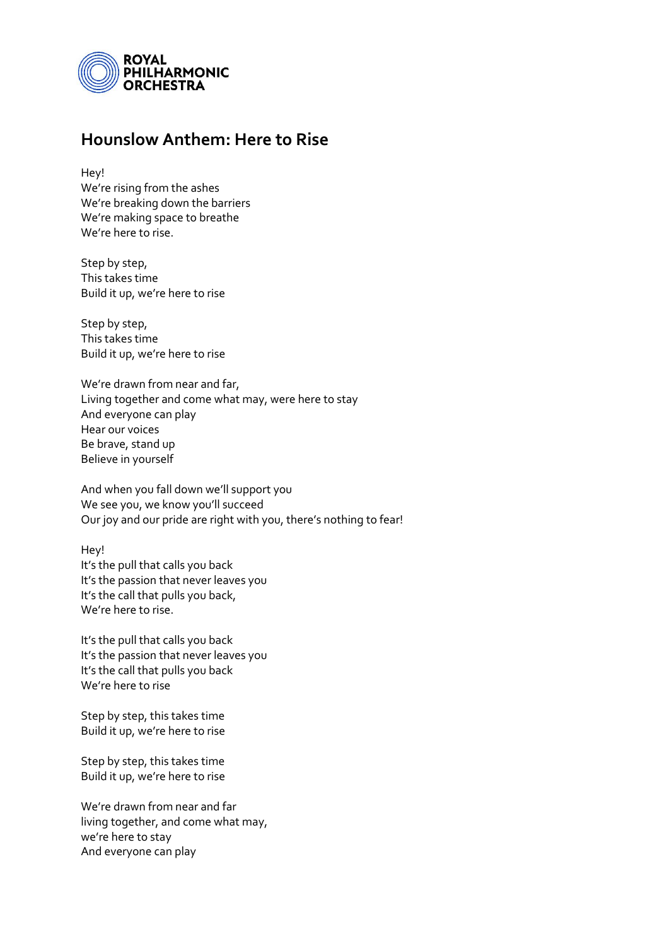

## **Hounslow Anthem: Here to Rise**

Hey! We're rising from the ashes We're breaking down the barriers We're making space to breathe We're here to rise.

Step by step, This takes time Build it up, we're here to rise

Step by step, This takes time Build it up, we're here to rise

We're drawn from near and far, Living together and come what may, were here to stay And everyone can play Hear our voices Be brave, stand up Believe in yourself

And when you fall down we'll support you We see you, we know you'll succeed Our joy and our pride are right with you, there's nothing to fear!

Hey! It's the pull that calls you back It's the passion that never leaves you It's the call that pulls you back, We're here to rise.

It's the pull that calls you back It's the passion that never leaves you It's the call that pulls you back We're here to rise

Step by step, this takes time Build it up, we're here to rise

Step by step, this takes time Build it up, we're here to rise

We're drawn from near and far living together, and come what may, we're here to stay And everyone can play